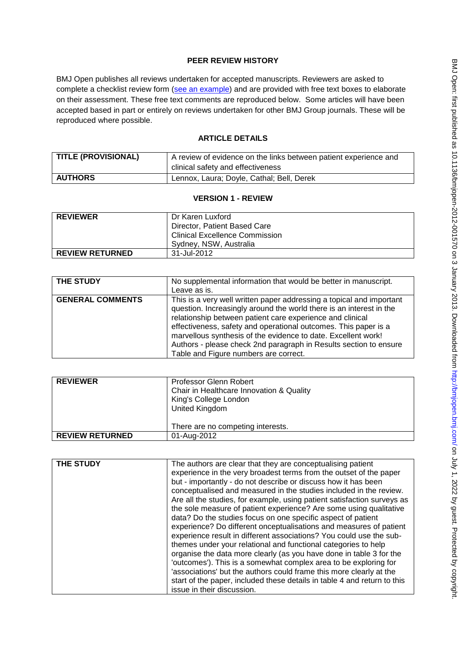# **PEER REVIEW HISTORY**

BMJ Open publishes all reviews undertaken for accepted manuscripts. Reviewers are asked to complete a checklist review form [\(see an example\)](http://bmjopen.bmj.com/site/about/resources/ScholarOne_Manuscripts.pdf) and are provided with free text boxes to elaborate on their assessment. These free text comments are reproduced below. Some articles will have been accepted based in part or entirely on reviews undertaken for other BMJ Group journals. These will be reproduced where possible.

# **ARTICLE DETAILS**

| <b>TITLE (PROVISIONAL)</b> | A review of evidence on the links between patient experience and<br>clinical safety and effectiveness |
|----------------------------|-------------------------------------------------------------------------------------------------------|
| <b>AUTHORS</b>             | Lennox, Laura; Doyle, Cathal; Bell, Derek                                                             |

## **VERSION 1 - REVIEW**

| <b>REVIEWER</b>        | Dr Karen Luxford<br>Director, Patient Based Care<br><b>Clinical Excellence Commission</b><br>Sydney, NSW, Australia |
|------------------------|---------------------------------------------------------------------------------------------------------------------|
|                        |                                                                                                                     |
| <b>REVIEW RETURNED</b> | 31-Jul-2012                                                                                                         |

| <b>THE STUDY</b>        | No supplemental information that would be better in manuscript.<br>Leave as is.                                                                                                                                                                                                                                                                                                                                                                            |
|-------------------------|------------------------------------------------------------------------------------------------------------------------------------------------------------------------------------------------------------------------------------------------------------------------------------------------------------------------------------------------------------------------------------------------------------------------------------------------------------|
| <b>GENERAL COMMENTS</b> | This is a very well written paper addressing a topical and important<br>question. Increasingly around the world there is an interest in the<br>relationship between patient care experience and clinical<br>effectiveness, safety and operational outcomes. This paper is a<br>marvellous synthesis of the evidence to date. Excellent work!<br>Authors - please check 2nd paragraph in Results section to ensure<br>Table and Figure numbers are correct. |

| <b>REVIEWER</b>        | Professor Glenn Robert<br>Chair in Healthcare Innovation & Quality<br>King's College London<br><b>United Kingdom</b><br>There are no competing interests. |
|------------------------|-----------------------------------------------------------------------------------------------------------------------------------------------------------|
| <b>REVIEW RETURNED</b> | 01-Aug-2012                                                                                                                                               |

| <b>THE STUDY</b> | The authors are clear that they are conceptualising patient<br>experience in the very broadest terms from the outset of the paper<br>but - importantly - do not describe or discuss how it has been<br>conceptualised and measured in the studies included in the review.<br>Are all the studies, for example, using patient satisfaction surveys as<br>the sole measure of patient experience? Are some using qualitative<br>data? Do the studies focus on one specific aspect of patient<br>experience? Do different onceptualisations and measures of patient<br>experience result in different associations? You could use the sub-<br>themes under your relational and functional categories to help<br>organise the data more clearly (as you have done in table 3 for the<br>'outcomes'). This is a somewhat complex area to be exploring for<br>'associations' but the authors could frame this more clearly at the<br>start of the paper, included these details in table 4 and return to this<br>issue in their discussion. |
|------------------|---------------------------------------------------------------------------------------------------------------------------------------------------------------------------------------------------------------------------------------------------------------------------------------------------------------------------------------------------------------------------------------------------------------------------------------------------------------------------------------------------------------------------------------------------------------------------------------------------------------------------------------------------------------------------------------------------------------------------------------------------------------------------------------------------------------------------------------------------------------------------------------------------------------------------------------------------------------------------------------------------------------------------------------|
|                  |                                                                                                                                                                                                                                                                                                                                                                                                                                                                                                                                                                                                                                                                                                                                                                                                                                                                                                                                                                                                                                       |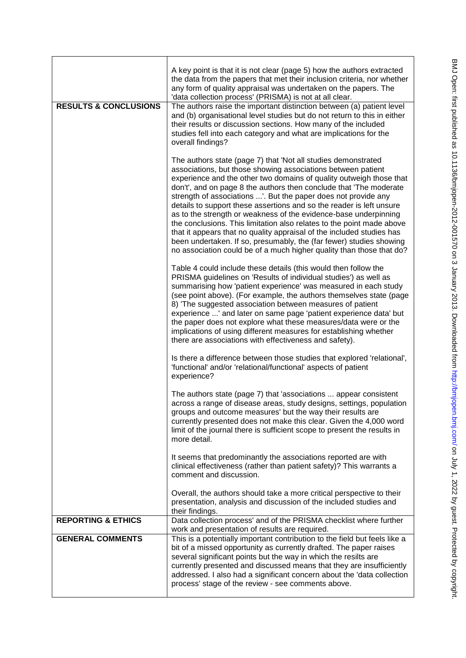| ļ<br>こくてくこ<br>)<br>22<br>.                                                                                                                                                                                                     |  |
|--------------------------------------------------------------------------------------------------------------------------------------------------------------------------------------------------------------------------------|--|
|                                                                                                                                                                                                                                |  |
|                                                                                                                                                                                                                                |  |
|                                                                                                                                                                                                                                |  |
|                                                                                                                                                                                                                                |  |
| .<br>המממה ו                                                                                                                                                                                                                   |  |
| Datination for the state of the state of the state of the state of the state of the state of the state of the state of the state of the state of the state of the state of the state of the state of the state of the state of |  |
|                                                                                                                                                                                                                                |  |
|                                                                                                                                                                                                                                |  |
|                                                                                                                                                                                                                                |  |
|                                                                                                                                                                                                                                |  |
| .<br>.                                                                                                                                                                                                                         |  |
|                                                                                                                                                                                                                                |  |
|                                                                                                                                                                                                                                |  |
|                                                                                                                                                                                                                                |  |
| <b>12.00000000000000</b>                                                                                                                                                                                                       |  |
| ,<br>,                                                                                                                                                                                                                         |  |
| .<br>.<br>.                                                                                                                                                                                                                    |  |

|                                  | A key point is that it is not clear (page 5) how the authors extracted<br>the data from the papers that met their inclusion criteria, nor whether<br>any form of quality appraisal was undertaken on the papers. The<br>'data collection process' (PRISMA) is not at all clear.                                                                                                                                                                                                                                                                                                                                                                                                                                                                                                           |
|----------------------------------|-------------------------------------------------------------------------------------------------------------------------------------------------------------------------------------------------------------------------------------------------------------------------------------------------------------------------------------------------------------------------------------------------------------------------------------------------------------------------------------------------------------------------------------------------------------------------------------------------------------------------------------------------------------------------------------------------------------------------------------------------------------------------------------------|
| <b>RESULTS &amp; CONCLUSIONS</b> | The authors raise the important distinction between (a) patient level<br>and (b) organisational level studies but do not return to this in either<br>their results or discussion sections. How many of the included<br>studies fell into each category and what are implications for the<br>overall findings?                                                                                                                                                                                                                                                                                                                                                                                                                                                                             |
|                                  | The authors state (page 7) that 'Not all studies demonstrated<br>associations, but those showing associations between patient<br>experience and the other two domains of quality outweigh those that<br>don't', and on page 8 the authors then conclude that 'The moderate<br>strength of associations '. But the paper does not provide any<br>details to support these assertions and so the reader is left unsure<br>as to the strength or weakness of the evidence-base underpinning<br>the conclusions. This limitation also relates to the point made above<br>that it appears that no quality appraisal of the included studies has<br>been undertaken. If so, presumably, the (far fewer) studies showing<br>no association could be of a much higher quality than those that do? |
|                                  | Table 4 could include these details (this would then follow the<br>PRISMA guidelines on 'Results of individual studies') as well as<br>summarising how 'patient experience' was measured in each study<br>(see point above). (For example, the authors themselves state (page<br>8) 'The suggested association between measures of patient<br>experience ' and later on same page 'patient experience data' but<br>the paper does not explore what these measures/data were or the<br>implications of using different measures for establishing whether<br>there are associations with effectiveness and safety).                                                                                                                                                                         |
|                                  | Is there a difference between those studies that explored 'relational',<br>'functional' and/or 'relational/functional' aspects of patient<br>experience?                                                                                                                                                                                                                                                                                                                                                                                                                                                                                                                                                                                                                                  |
|                                  | The authors state (page 7) that 'associations  appear consistent<br>across a range of disease areas, study designs, settings, population<br>groups and outcome measures' but the way their results are<br>currently presented does not make this clear. Given the 4,000 word<br>limit of the journal there is sufficient scope to present the results in<br>more detail.                                                                                                                                                                                                                                                                                                                                                                                                                  |
|                                  | It seems that predominantly the associations reported are with<br>clinical effectiveness (rather than patient safety)? This warrants a<br>comment and discussion.                                                                                                                                                                                                                                                                                                                                                                                                                                                                                                                                                                                                                         |
|                                  | Overall, the authors should take a more critical perspective to their<br>presentation, analysis and discussion of the included studies and<br>their findings.                                                                                                                                                                                                                                                                                                                                                                                                                                                                                                                                                                                                                             |
| <b>REPORTING &amp; ETHICS</b>    | Data collection process' and of the PRISMA checklist where further<br>work and presentation of results are required.                                                                                                                                                                                                                                                                                                                                                                                                                                                                                                                                                                                                                                                                      |
| <b>GENERAL COMMENTS</b>          | This is a potentially important contribution to the field but feels like a<br>bit of a missed opportunity as currently drafted. The paper raises<br>several significant points but the way in which the resilts are<br>currently presented and discussed means that they are insufficiently<br>addressed. I also had a significant concern about the 'data collection<br>process' stage of the review - see comments above.                                                                                                                                                                                                                                                                                                                                                               |
|                                  |                                                                                                                                                                                                                                                                                                                                                                                                                                                                                                                                                                                                                                                                                                                                                                                           |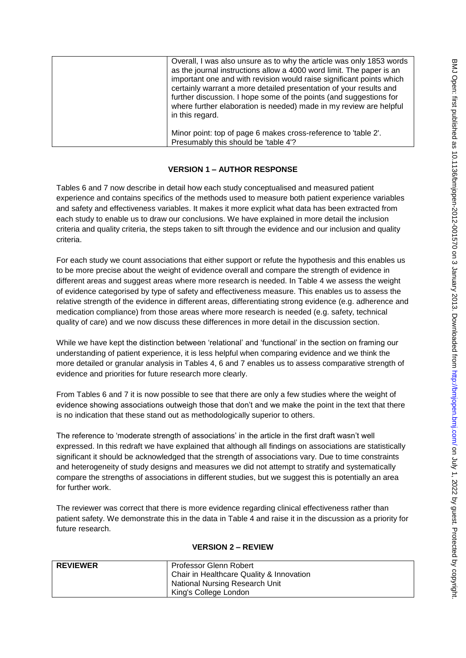| Overall, I was also unsure as to why the article was only 1853 words<br>as the journal instructions allow a 4000 word limit. The paper is an<br>important one and with revision would raise significant points which<br>certainly warrant a more detailed presentation of your results and<br>further discussion. I hope some of the points (and suggestions for<br>where further elaboration is needed) made in my review are helpful<br>in this regard. |
|-----------------------------------------------------------------------------------------------------------------------------------------------------------------------------------------------------------------------------------------------------------------------------------------------------------------------------------------------------------------------------------------------------------------------------------------------------------|
| Minor point: top of page 6 makes cross-reference to 'table 2'.<br>Presumably this should be 'table 4'?                                                                                                                                                                                                                                                                                                                                                    |

## **VERSION 1 – AUTHOR RESPONSE**

Tables 6 and 7 now describe in detail how each study conceptualised and measured patient experience and contains specifics of the methods used to measure both patient experience variables and safety and effectiveness variables. It makes it more explicit what data has been extracted from each study to enable us to draw our conclusions. We have explained in more detail the inclusion criteria and quality criteria, the steps taken to sift through the evidence and our inclusion and quality criteria.

For each study we count associations that either support or refute the hypothesis and this enables us to be more precise about the weight of evidence overall and compare the strength of evidence in different areas and suggest areas where more research is needed. In Table 4 we assess the weight of evidence categorised by type of safety and effectiveness measure. This enables us to assess the relative strength of the evidence in different areas, differentiating strong evidence (e.g. adherence and medication compliance) from those areas where more research is needed (e.g. safety, technical quality of care) and we now discuss these differences in more detail in the discussion section.

While we have kept the distinction between 'relational' and 'functional' in the section on framing our understanding of patient experience, it is less helpful when comparing evidence and we think the more detailed or granular analysis in Tables 4, 6 and 7 enables us to assess comparative strength of evidence and priorities for future research more clearly.

From Tables 6 and 7 it is now possible to see that there are only a few studies where the weight of evidence showing associations outweigh those that don't and we make the point in the text that there is no indication that these stand out as methodologically superior to others.

The reference to 'moderate strength of associations' in the article in the first draft wasn't well expressed. In this redraft we have explained that although all findings on associations are statistically significant it should be acknowledged that the strength of associations vary. Due to time constraints and heterogeneity of study designs and measures we did not attempt to stratify and systematically compare the strengths of associations in different studies, but we suggest this is potentially an area for further work.

The reviewer was correct that there is more evidence regarding clinical effectiveness rather than patient safety. We demonstrate this in the data in Table 4 and raise it in the discussion as a priority for future research.

### **VERSION 2 – REVIEW**

| <b>REVIEWER</b> | Professor Glenn Robert<br>Chair in Healthcare Quality & Innovation |
|-----------------|--------------------------------------------------------------------|
|                 | <b>National Nursing Research Unit</b>                              |
|                 | King's College London                                              |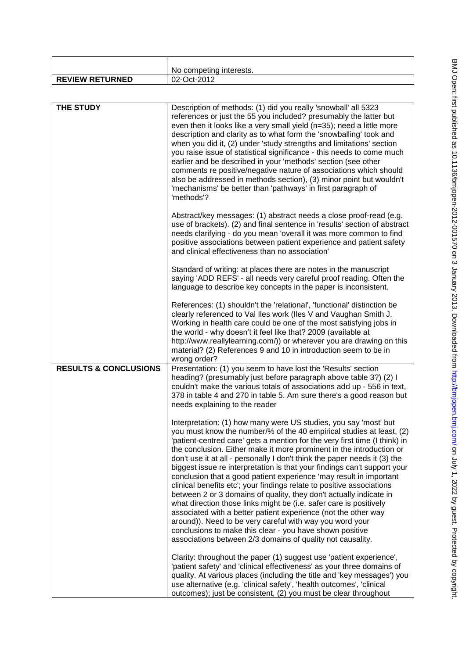|                        | No competing interests. |
|------------------------|-------------------------|
| <b>REVIEW RETURNED</b> | 02-Oct-2012             |
|                        |                         |

| <b>THE STUDY</b>                 | Description of methods: (1) did you really 'snowball' all 5323<br>references or just the 55 you included? presumably the latter but<br>even then it looks like a very small yield (n=35); need a little more<br>description and clarity as to what form the 'snowballing' took and<br>when you did it, (2) under 'study strengths and limitations' section<br>you raise issue of statistical significance - this needs to come much<br>earlier and be described in your 'methods' section (see other<br>comments re positive/negative nature of associations which should<br>also be addressed in methods section), (3) minor point but wouldn't<br>'mechanisms' be better than 'pathways' in first paragraph of<br>'methods'?                                                                                                                                                                                                                                                                             |
|----------------------------------|------------------------------------------------------------------------------------------------------------------------------------------------------------------------------------------------------------------------------------------------------------------------------------------------------------------------------------------------------------------------------------------------------------------------------------------------------------------------------------------------------------------------------------------------------------------------------------------------------------------------------------------------------------------------------------------------------------------------------------------------------------------------------------------------------------------------------------------------------------------------------------------------------------------------------------------------------------------------------------------------------------|
|                                  | Abstract/key messages: (1) abstract needs a close proof-read (e.g.<br>use of brackets). (2) and final sentence in 'results' section of abstract<br>needs clarifying - do you mean 'overall it was more common to find<br>positive associations between patient experience and patient safety<br>and clinical effectiveness than no association'                                                                                                                                                                                                                                                                                                                                                                                                                                                                                                                                                                                                                                                            |
|                                  | Standard of writing: at places there are notes in the manuscript<br>saying 'ADD REFS' - all needs very careful proof reading. Often the<br>language to describe key concepts in the paper is inconsistent.                                                                                                                                                                                                                                                                                                                                                                                                                                                                                                                                                                                                                                                                                                                                                                                                 |
|                                  | References: (1) shouldn't the 'relational', 'functional' distinction be<br>clearly referenced to Val Iles work (Iles V and Vaughan Smith J.<br>Working in health care could be one of the most satisfying jobs in<br>the world - why doesn't it feel like that? 2009 (available at<br>http://www.reallylearning.com/)) or wherever you are drawing on this<br>material? (2) References 9 and 10 in introduction seem to be in<br>wrong order?                                                                                                                                                                                                                                                                                                                                                                                                                                                                                                                                                              |
| <b>RESULTS &amp; CONCLUSIONS</b> | Presentation: (1) you seem to have lost the 'Results' section<br>heading? (presumably just before paragraph above table 3?) (2) I<br>couldn't make the various totals of associations add up - 556 in text,<br>378 in table 4 and 270 in table 5. Am sure there's a good reason but<br>needs explaining to the reader                                                                                                                                                                                                                                                                                                                                                                                                                                                                                                                                                                                                                                                                                      |
|                                  | Interpretation: (1) how many were US studies, you say 'most' but<br>you must know the number/% of the 40 empirical studies at least, (2)<br>'patient-centred care' gets a mention for the very first time (I think) in<br>the conclusion. Either make it more prominent in the introduction or<br>don't use it at all - personally I don't think the paper needs it (3) the<br>biggest issue re interpretation is that your findings can't support your<br>conclusion that a good patient experience 'may result in important<br>clinical benefits etc'; your findings relate to positive associations<br>between 2 or 3 domains of quality, they don't actually indicate in<br>what direction those links might be (i.e. safer care is positively<br>associated with a better patient experience (not the other way<br>around)). Need to be very careful with way you word your<br>conclusions to make this clear - you have shown positive<br>associations between 2/3 domains of quality not causality. |
|                                  | Clarity: throughout the paper (1) suggest use 'patient experience',<br>'patient safety' and 'clinical effectiveness' as your three domains of<br>quality. At various places (including the title and 'key messages') you<br>use alternative (e.g. 'clinical safety', 'health outcomes', 'clinical<br>outcomes); just be consistent, (2) you must be clear throughout                                                                                                                                                                                                                                                                                                                                                                                                                                                                                                                                                                                                                                       |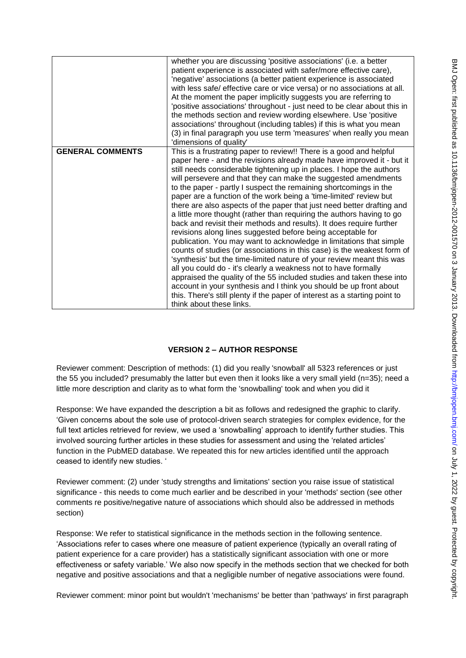|                         | whether you are discussing 'positive associations' (i.e. a better<br>patient experience is associated with safer/more effective care),<br>'negative' associations (a better patient experience is associated<br>with less safe/ effective care or vice versa) or no associations at all.<br>At the moment the paper implicitly suggests you are referring to<br>'positive associations' throughout - just need to be clear about this in<br>the methods section and review wording elsewhere. Use 'positive                                                                                                                                                                                                                                                                                                                                                                                                                                                                                                                                                                                                                                                                                                                                                                        |
|-------------------------|------------------------------------------------------------------------------------------------------------------------------------------------------------------------------------------------------------------------------------------------------------------------------------------------------------------------------------------------------------------------------------------------------------------------------------------------------------------------------------------------------------------------------------------------------------------------------------------------------------------------------------------------------------------------------------------------------------------------------------------------------------------------------------------------------------------------------------------------------------------------------------------------------------------------------------------------------------------------------------------------------------------------------------------------------------------------------------------------------------------------------------------------------------------------------------------------------------------------------------------------------------------------------------|
|                         | associations' throughout (including tables) if this is what you mean<br>(3) in final paragraph you use term 'measures' when really you mean<br>'dimensions of quality'                                                                                                                                                                                                                                                                                                                                                                                                                                                                                                                                                                                                                                                                                                                                                                                                                                                                                                                                                                                                                                                                                                             |
| <b>GENERAL COMMENTS</b> | This is a frustrating paper to review!! There is a good and helpful<br>paper here - and the revisions already made have improved it - but it<br>still needs considerable tightening up in places. I hope the authors<br>will persevere and that they can make the suggested amendments<br>to the paper - partly I suspect the remaining shortcomings in the<br>paper are a function of the work being a 'time-limited' review but<br>there are also aspects of the paper that just need better drafting and<br>a little more thought (rather than requiring the authors having to go<br>back and revisit their methods and results). It does require further<br>revisions along lines suggested before being acceptable for<br>publication. You may want to acknowledge in limitations that simple<br>counts of studies (or associations in this case) is the weakest form of<br>'synthesis' but the time-limited nature of your review meant this was<br>all you could do - it's clearly a weakness not to have formally<br>appraised the quality of the 55 included studies and taken these into<br>account in your synthesis and I think you should be up front about<br>this. There's still plenty if the paper of interest as a starting point to<br>think about these links. |

# **VERSION 2 – AUTHOR RESPONSE**

Reviewer comment: Description of methods: (1) did you really 'snowball' all 5323 references or just the 55 you included? presumably the latter but even then it looks like a very small yield (n=35); need a little more description and clarity as to what form the 'snowballing' took and when you did it

Response: We have expanded the description a bit as follows and redesigned the graphic to clarify. 'Given concerns about the sole use of protocol-driven search strategies for complex evidence, for the full text articles retrieved for review, we used a 'snowballing' approach to identify further studies. This involved sourcing further articles in these studies for assessment and using the 'related articles' function in the PubMED database. We repeated this for new articles identified until the approach ceased to identify new studies. '

Reviewer comment: (2) under 'study strengths and limitations' section you raise issue of statistical significance - this needs to come much earlier and be described in your 'methods' section (see other comments re positive/negative nature of associations which should also be addressed in methods section)

Response: We refer to statistical significance in the methods section in the following sentence. 'Associations refer to cases where one measure of patient experience (typically an overall rating of patient experience for a care provider) has a statistically significant association with one or more effectiveness or safety variable.' We also now specify in the methods section that we checked for both negative and positive associations and that a negligible number of negative associations were found.

Reviewer comment: minor point but wouldn't 'mechanisms' be better than 'pathways' in first paragraph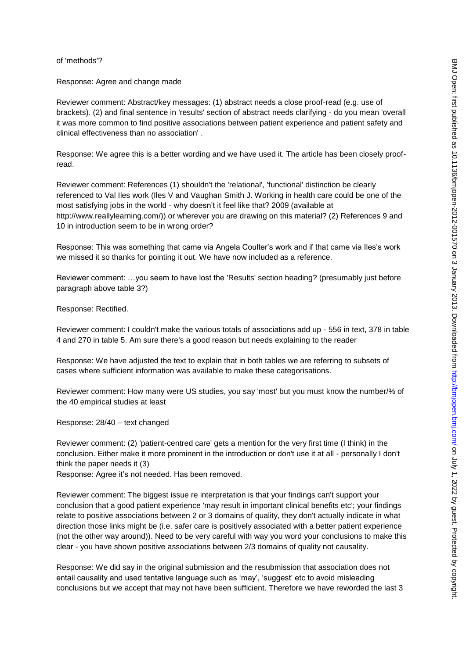### of 'methods'?

Response: Agree and change made

Reviewer comment: Abstract/key messages: (1) abstract needs a close proof-read (e.g. use of brackets). (2) and final sentence in 'results' section of abstract needs clarifying - do you mean 'overall it was more common to find positive associations between patient experience and patient safety and clinical effectiveness than no association' .

Response: We agree this is a better wording and we have used it. The article has been closely proofread.

Reviewer comment: References (1) shouldn't the 'relational', 'functional' distinction be clearly referenced to Val Iles work (Iles V and Vaughan Smith J. Working in health care could be one of the most satisfying jobs in the world - why doesn't it feel like that? 2009 (available at http://www.reallylearning.com/)) or wherever you are drawing on this material? (2) References 9 and 10 in introduction seem to be in wrong order?

Response: This was something that came via Angela Coulter's work and if that came via Iles's work we missed it so thanks for pointing it out. We have now included as a reference.

Reviewer comment: …you seem to have lost the 'Results' section heading? (presumably just before paragraph above table 3?)

Response: Rectified.

Reviewer comment: I couldn't make the various totals of associations add up - 556 in text, 378 in table 4 and 270 in table 5. Am sure there's a good reason but needs explaining to the reader

Response: We have adjusted the text to explain that in both tables we are referring to subsets of cases where sufficient information was available to make these categorisations.

Reviewer comment: How many were US studies, you say 'most' but you must know the number/% of the 40 empirical studies at least

Response: 28/40 – text changed

Reviewer comment: (2) 'patient-centred care' gets a mention for the very first time (I think) in the conclusion. Either make it more prominent in the introduction or don't use it at all - personally I don't think the paper needs it (3)

Response: Agree it's not needed. Has been removed.

Reviewer comment: The biggest issue re interpretation is that your findings can't support your conclusion that a good patient experience 'may result in important clinical benefits etc'; your findings relate to positive associations between 2 or 3 domains of quality, they don't actually indicate in what direction those links might be (i.e. safer care is positively associated with a better patient experience (not the other way around)). Need to be very careful with way you word your conclusions to make this clear - you have shown positive associations between 2/3 domains of quality not causality.

Response: We did say in the original submission and the resubmission that association does not entail causality and used tentative language such as 'may', 'suggest' etc to avoid misleading conclusions but we accept that may not have been sufficient. Therefore we have reworded the last 3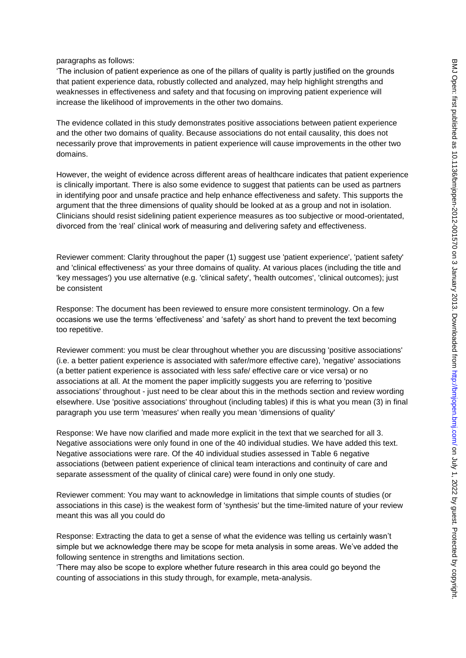### paragraphs as follows:

'The inclusion of patient experience as one of the pillars of quality is partly justified on the grounds that patient experience data, robustly collected and analyzed, may help highlight strengths and weaknesses in effectiveness and safety and that focusing on improving patient experience will increase the likelihood of improvements in the other two domains.

The evidence collated in this study demonstrates positive associations between patient experience and the other two domains of quality. Because associations do not entail causality, this does not necessarily prove that improvements in patient experience will cause improvements in the other two domains.

However, the weight of evidence across different areas of healthcare indicates that patient experience is clinically important. There is also some evidence to suggest that patients can be used as partners in identifying poor and unsafe practice and help enhance effectiveness and safety. This supports the argument that the three dimensions of quality should be looked at as a group and not in isolation. Clinicians should resist sidelining patient experience measures as too subjective or mood-orientated, divorced from the 'real' clinical work of measuring and delivering safety and effectiveness.

Reviewer comment: Clarity throughout the paper (1) suggest use 'patient experience', 'patient safety' and 'clinical effectiveness' as your three domains of quality. At various places (including the title and 'key messages') you use alternative (e.g. 'clinical safety', 'health outcomes', 'clinical outcomes); just be consistent

Response: The document has been reviewed to ensure more consistent terminology. On a few occasions we use the terms 'effectiveness' and 'safety' as short hand to prevent the text becoming too repetitive.

Reviewer comment: you must be clear throughout whether you are discussing 'positive associations' (i.e. a better patient experience is associated with safer/more effective care), 'negative' associations (a better patient experience is associated with less safe/ effective care or vice versa) or no associations at all. At the moment the paper implicitly suggests you are referring to 'positive associations' throughout - just need to be clear about this in the methods section and review wording elsewhere. Use 'positive associations' throughout (including tables) if this is what you mean (3) in final paragraph you use term 'measures' when really you mean 'dimensions of quality'

Response: We have now clarified and made more explicit in the text that we searched for all 3. Negative associations were only found in one of the 40 individual studies. We have added this text. Negative associations were rare. Of the 40 individual studies assessed in Table 6 negative associations (between patient experience of clinical team interactions and continuity of care and separate assessment of the quality of clinical care) were found in only one study.

Reviewer comment: You may want to acknowledge in limitations that simple counts of studies (or associations in this case) is the weakest form of 'synthesis' but the time-limited nature of your review meant this was all you could do

Response: Extracting the data to get a sense of what the evidence was telling us certainly wasn't simple but we acknowledge there may be scope for meta analysis in some areas. We've added the following sentence in strengths and limitations section.

'There may also be scope to explore whether future research in this area could go beyond the counting of associations in this study through, for example, meta-analysis.